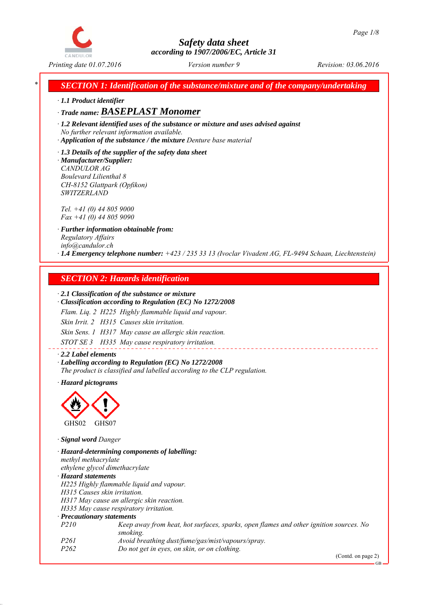

*SECTION 1: Identification of the substance/mixture and of the company/undertaking* 

*∙ 1.1 Product identifier*

*∙ Trade name: BASEPLAST Monomer*

*∙ 1.2 Relevant identified uses of the substance or mixture and uses advised against No further relevant information available.*

*∙ Application of the substance / the mixture Denture base material*

*∙ 1.3 Details of the supplier of the safety data sheet ∙ Manufacturer/Supplier: CANDULOR AG Boulevard Lilienthal 8 CH-8152 Glattpark (Opfikon) SWITZERLAND*

*Tel. +41 (0) 44 805 9000 Fax +41 (0) 44 805 9090*

*∙ Further information obtainable from: Regulatory Affairs info@candulor.ch ∙ 1.4 Emergency telephone number: +423 / 235 33 13 (Ivoclar Vivadent AG, FL-9494 Schaan, Liechtenstein)*

## *SECTION 2: Hazards identification*

#### *∙ 2.1 Classification of the substance or mixture*

*∙ Classification according to Regulation (EC) No 1272/2008*

*Flam. Liq. 2 H225 Highly flammable liquid and vapour.*

*Skin Irrit. 2 H315 Causes skin irritation.*

*Skin Sens. 1 H317 May cause an allergic skin reaction.*

*STOT SE 3 H335 May cause respiratory irritation.*

*∙ 2.2 Label elements ∙ Labelling according to Regulation (EC) No 1272/2008 The product is classified and labelled according to the CLP regulation.*

*∙ Hazard pictograms*



*∙ Signal word Danger*

*∙ Hazard-determining components of labelling: methyl methacrylate ethylene glycol dimethacrylate ∙ Hazard statements H225 Highly flammable liquid and vapour. H315 Causes skin irritation. H317 May cause an allergic skin reaction. H335 May cause respiratory irritation. ∙ Precautionary statements P210 Keep away from heat, hot surfaces, sparks, open flames and other ignition sources. No smoking. P261 Avoid breathing dust/fume/gas/mist/vapours/spray. P262 Do not get in eyes, on skin, or on clothing.*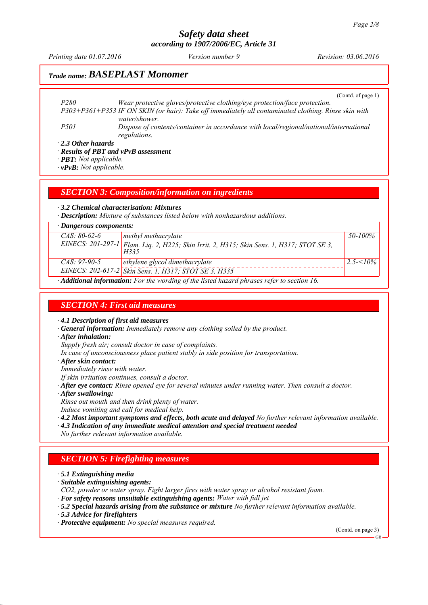*Printing date 01.07.2016 Revision: 03.06.2016 Version number 9*

# *Trade name: BASEPLAST Monomer*

(Contd. of page 1)

*P280 Wear protective gloves/protective clothing/eye protection/face protection. P303+P361+P353 IF ON SKIN (or hair): Take off immediately all contaminated clothing. Rinse skin with water/shower. P501 Dispose of contents/container in accordance with local/regional/national/international regulations.*

*∙ 2.3 Other hazards*

*∙ Results of PBT and vPvB assessment*

*∙ PBT: Not applicable.*

*∙ vPvB: Not applicable.*

*SECTION 3: Composition/information on ingredients*

*∙ 3.2 Chemical characterisation: Mixtures*

*∙ Description: Mixture of substances listed below with nonhazardous additions.*

| $\cdot$ Dangerous components:                                                                           |                                                                                                   |              |  |
|---------------------------------------------------------------------------------------------------------|---------------------------------------------------------------------------------------------------|--------------|--|
| $CAS: 80-62-6$                                                                                          | methyl methacrylate                                                                               | 50-100%      |  |
|                                                                                                         | EINECS: 201-297-1 Flam. Liq. 2, H225; Skin Irrit. 2, H315; Skin Sens. 1, H317; STOT SE 3,<br>H335 |              |  |
| $CAS: 97-90-5$                                                                                          | ethylene glycol dimethacrylate                                                                    | $2.5 - 10\%$ |  |
|                                                                                                         | EINECS: 202-617-2 Skin Sens. 1, H317; STOT SE 3, H335                                             |              |  |
| $\cdot$ <b>Additional information:</b> For the wording of the listed hazard phrases refer to section 16 |                                                                                                   |              |  |

*∙ Additional information: For the wording of the listed hazard phrases refer to section 16.*

#### *SECTION 4: First aid measures*

*∙ 4.1 Description of first aid measures*

- *∙ General information: Immediately remove any clothing soiled by the product.*
- *∙ After inhalation:*

*Supply fresh air; consult doctor in case of complaints.*

- *In case of unconsciousness place patient stably in side position for transportation.*
- *∙ After skin contact:*

*Immediately rinse with water.*

*If skin irritation continues, consult a doctor.*

*∙ After eye contact: Rinse opened eye for several minutes under running water. Then consult a doctor.*

*∙ After swallowing:*

*Rinse out mouth and then drink plenty of water.*

- *Induce vomiting and call for medical help.*
- *∙ 4.2 Most important symptoms and effects, both acute and delayed No further relevant information available.*
- *∙ 4.3 Indication of any immediate medical attention and special treatment needed*

*No further relevant information available.*

## *SECTION 5: Firefighting measures*

*∙ 5.1 Extinguishing media*

- *∙ Suitable extinguishing agents:*
- *CO2, powder or water spray. Fight larger fires with water spray or alcohol resistant foam.*
- *∙ For safety reasons unsuitable extinguishing agents: Water with full jet*
- *∙ 5.2 Special hazards arising from the substance or mixture No further relevant information available.*
- *∙ 5.3 Advice for firefighters*

*∙ Protective equipment: No special measures required.*

(Contd. on page 3)

GB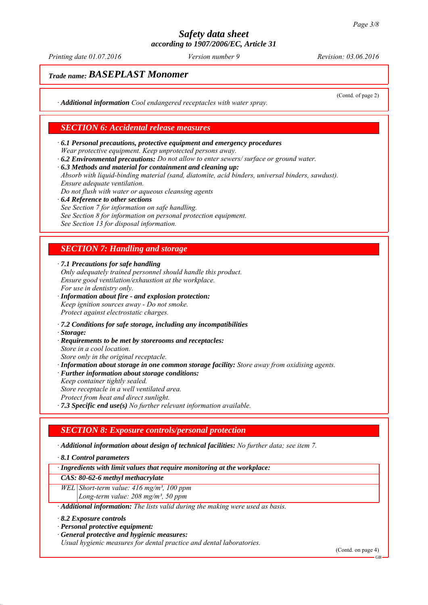*Printing date 01.07.2016 Revision: 03.06.2016 Version number 9*

(Contd. of page 2)

# *Trade name: BASEPLAST Monomer*

*∙ Additional information Cool endangered receptacles with water spray.*

#### *SECTION 6: Accidental release measures*

- *∙ 6.1 Personal precautions, protective equipment and emergency procedures Wear protective equipment. Keep unprotected persons away.*
- *∙ 6.2 Environmental precautions: Do not allow to enter sewers/ surface or ground water.*
- *∙ 6.3 Methods and material for containment and cleaning up:*

*Absorb with liquid-binding material (sand, diatomite, acid binders, universal binders, sawdust). Ensure adequate ventilation.*

- *Do not flush with water or aqueous cleansing agents*
- *∙ 6.4 Reference to other sections See Section 7 for information on safe handling. See Section 8 for information on personal protection equipment. See Section 13 for disposal information.*

## *SECTION 7: Handling and storage*

*∙ 7.1 Precautions for safe handling*

- *Only adequately trained personnel should handle this product. Ensure good ventilation/exhaustion at the workplace. For use in dentistry only.*
- *∙ Information about fire and explosion protection: Keep ignition sources away - Do not smoke. Protect against electrostatic charges.*
- *∙ 7.2 Conditions for safe storage, including any incompatibilities*
- *∙ Storage:*
- *∙ Requirements to be met by storerooms and receptacles:*
- *Store in a cool location.*
- *Store only in the original receptacle. ∙ Information about storage in one common storage facility: Store away from oxidising agents.*
- *∙ Further information about storage conditions:*
- *Keep container tightly sealed. Store receptacle in a well ventilated area.*
- *Protect from heat and direct sunlight.*
- *∙ 7.3 Specific end use(s) No further relevant information available.*

## *SECTION 8: Exposure controls/personal protection*

*∙ Additional information about design of technical facilities: No further data; see item 7.*

*∙ 8.1 Control parameters*

*∙ Ingredients with limit values that require monitoring at the workplace:*

#### *CAS: 80-62-6 methyl methacrylate*

*WEL Short-term value: 416 mg/m³, 100 ppm Long-term value: 208 mg/m³, 50 ppm*

*∙ Additional information: The lists valid during the making were used as basis.*

*∙ 8.2 Exposure controls*

- *∙ Personal protective equipment:*
- *∙ General protective and hygienic measures:*

*Usual hygienic measures for dental practice and dental laboratories.*

(Contd. on page 4)

GB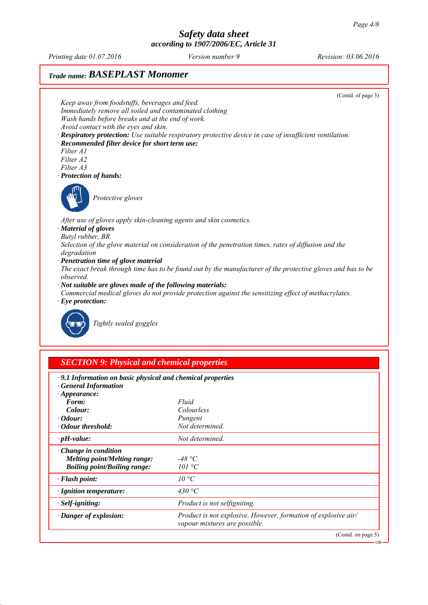*Printing date 01.07.2016 Revision: 03.06.2016 Version number 9*

# *Trade name: BASEPLAST Monomer*



*vapour mixtures are possible.*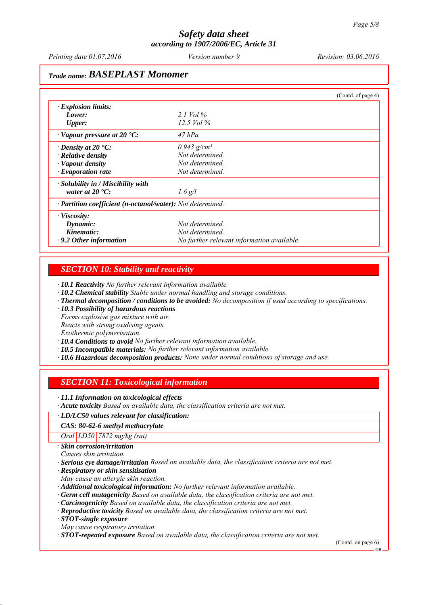*Printing date 01.07.2016 Revision: 03.06.2016 Version number 9*

# *Trade name: BASEPLAST Monomer*

|                                                            |                                            | (Contd. of page 4) |
|------------------------------------------------------------|--------------------------------------------|--------------------|
| $\cdot$ Explosion limits:                                  |                                            |                    |
| Lower:                                                     | 2.1 Vol $\%$                               |                    |
| <b>Upper:</b>                                              | 12.5 Vol $\%$                              |                    |
| $\cdot$ Vapour pressure at 20 $\cdot$ C:                   | $47$ hPa                                   |                    |
| $\cdot$ Density at 20 $\cdot$ C:                           | $0.943$ g/cm <sup>3</sup>                  |                    |
| $\cdot$ Relative density                                   | Not determined.                            |                    |
| · Vapour density                                           | Not determined.                            |                    |
| $\cdot$ Evaporation rate                                   | Not determined.                            |                    |
| · Solubility in / Miscibility with                         |                                            |                    |
| water at $20 \degree C$ :                                  | $1.6$ g/l                                  |                    |
| · Partition coefficient (n-octanol/water): Not determined. |                                            |                    |
| $\cdot$ Viscosity:                                         |                                            |                    |
| Dynamic:                                                   | Not determined.                            |                    |
| Kinematic:                                                 | Not determined.                            |                    |
| $\cdot$ 9.2 Other information                              | No further relevant information available. |                    |

#### *SECTION 10: Stability and reactivity*

*∙ 10.1 Reactivity No further relevant information available.*

*∙ 10.2 Chemical stability Stable under normal handling and storage conditions.*

*∙ Thermal decomposition / conditions to be avoided: No decomposition if used according to specifications.*

*∙ 10.3 Possibility of hazardous reactions*

*Forms explosive gas mixture with air.*

*Reacts with strong oxidising agents.*

*Exothermic polymerisation.*

*∙ 10.4 Conditions to avoid No further relevant information available.*

*∙ 10.5 Incompatible materials: No further relevant information available.*

*∙ 10.6 Hazardous decomposition products: None under normal conditions of storage and use.*

## *SECTION 11: Toxicological information*

*∙ 11.1 Information on toxicological effects*

*∙ Acute toxicity Based on available data, the classification criteria are not met.*

#### *∙ LD/LC50 values relevant for classification:*

*CAS: 80-62-6 methyl methacrylate*

*Oral LD50 7872 mg/kg (rat)*

*∙ Skin corrosion/irritation*

*Causes skin irritation.*

*∙ Serious eye damage/irritation Based on available data, the classification criteria are not met.*

*∙ Respiratory or skin sensitisation*

*May cause an allergic skin reaction.*

*∙ Additional toxicological information: No further relevant information available.*

*∙ Germ cell mutagenicity Based on available data, the classification criteria are not met.*

*∙ Carcinogenicity Based on available data, the classification criteria are not met.*

*∙ Reproductive toxicity Based on available data, the classification criteria are not met.*

*∙ STOT-single exposure*

*May cause respiratory irritation.*

*∙ STOT-repeated exposure Based on available data, the classification criteria are not met.*

(Contd. on page 6)

GB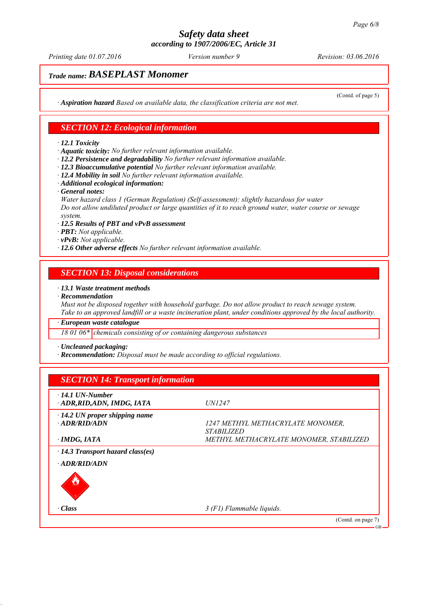*Printing date 01.07.2016 Revision: 03.06.2016 Version number 9*

(Contd. of page 5)

# *Trade name: BASEPLAST Monomer*

*∙ Aspiration hazard Based on available data, the classification criteria are not met.*

#### *SECTION 12: Ecological information*

#### *∙ 12.1 Toxicity*

*∙ Aquatic toxicity: No further relevant information available.*

- *∙ 12.2 Persistence and degradability No further relevant information available.*
- *∙ 12.3 Bioaccumulative potential No further relevant information available.*
- *∙ 12.4 Mobility in soil No further relevant information available.*
- *∙ Additional ecological information:*
- *∙ General notes:*

*Water hazard class 1 (German Regulation) (Self-assessment): slightly hazardous for water Do not allow undiluted product or large quantities of it to reach ground water, water course or sewage system.*

- *∙ 12.5 Results of PBT and vPvB assessment*
- *∙ PBT: Not applicable.*
- *∙ vPvB: Not applicable.*
- *∙ 12.6 Other adverse effects No further relevant information available.*

#### *SECTION 13: Disposal considerations*

*∙ 13.1 Waste treatment methods*

*∙ Recommendation*

*Must not be disposed together with household garbage. Do not allow product to reach sewage system. Take to an approved landfill or a waste incineration plant, under conditions approved by the local authority.*

*∙ European waste catalogue*

*18 01 06\* chemicals consisting of or containing dangerous substances*

*∙ Uncleaned packaging:*

*∙ Recommendation: Disposal must be made according to official regulations.*

| <b>SECTION 14: Transport information</b>                      |                                                               |
|---------------------------------------------------------------|---------------------------------------------------------------|
| $\cdot$ 14.1 UN-Number<br>· ADR, RID, ADN, IMDG, IATA         | <i>UN1247</i>                                                 |
| $\cdot$ 14.2 UN proper shipping name<br>$-ADR/RID/ADN$        | 1247 METHYL METHACRYLATE MONOMER,<br><i><b>STABILIZED</b></i> |
| $\cdot$ IMDG, IATA<br>$\cdot$ 14.3 Transport hazard class(es) | METHYL METHACRYLATE MONOMER, STABILIZED                       |
| · ADR/RID/ADN                                                 |                                                               |
| · Class                                                       | $3$ (F1) Flammable liquids.                                   |
|                                                               | (Contd. on page 7)<br>GB                                      |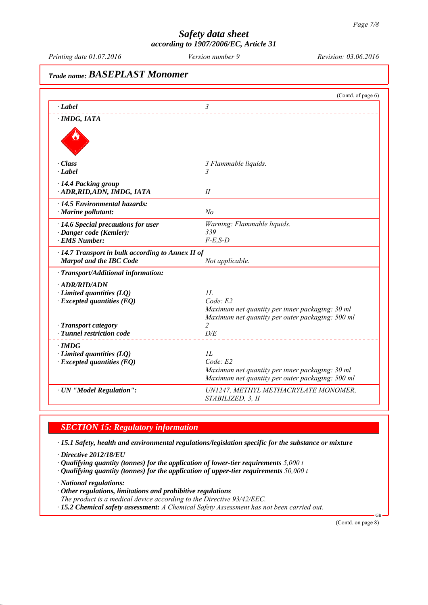*Printing date 01.07.2016 Revision: 03.06.2016 Version number 9*

*Trade name: BASEPLAST Monomer* (Contd. of page 6) *∙ Label 3 ∙ IMDG, IATA ∙ Class 3 Flammable liquids. ∙ Label 3 ∙ 14.4 Packing group ∙ ADR,RID,ADN, IMDG, IATA II ∙ 14.5 Environmental hazards: ∙ Marine pollutant: No ∙ 14.6 Special precautions for user Warning: Flammable liquids. ∙ Danger code (Kemler): 339 ∙ EMS Number: F-E,S-D ∙ 14.7 Transport in bulk according to Annex II of Marpol and the IBC Code Not applicable. ∙ Transport/Additional information: ∙ ADR/RID/ADN ∂ Limited quantities (LQ) 1L*<br>*∙ Excepted quantities (EQ) Code E2 ∗ Excepted quantities (EQ) Maximum net quantity per inner packaging: 30 ml Maximum net quantity per outer packaging: 500 ml −* **Transport category 2**<br>*−* **Tunnel restriction code** *D/E ∤ <i>Tunnel restriction code ∙ IMDG ∙ Limited quantities (LQ) 1L ∙ Excepted quantities (EQ) Code: E2 Maximum net quantity per inner packaging: 30 ml Maximum net quantity per outer packaging: 500 ml ∙ UN "Model Regulation": UN1247, METHYL METHACRYLATE MONOMER, STABILIZED, 3, II*

## *SECTION 15: Regulatory information*

*∙ 15.1 Safety, health and environmental regulations/legislation specific for the substance or mixture*

*∙ Directive 2012/18/EU*

*∙ Qualifying quantity (tonnes) for the application of lower-tier requirements 5,000 t*

*∙ Qualifying quantity (tonnes) for the application of upper-tier requirements 50,000 t*

*∙ National regulations:*

- *∙ Other regulations, limitations and prohibitive regulations*
- *The product is a medical device according to the Directive 93/42/EEC.*

*∙ 15.2 Chemical safety assessment: A Chemical Safety Assessment has not been carried out.*

(Contd. on page 8)

GB